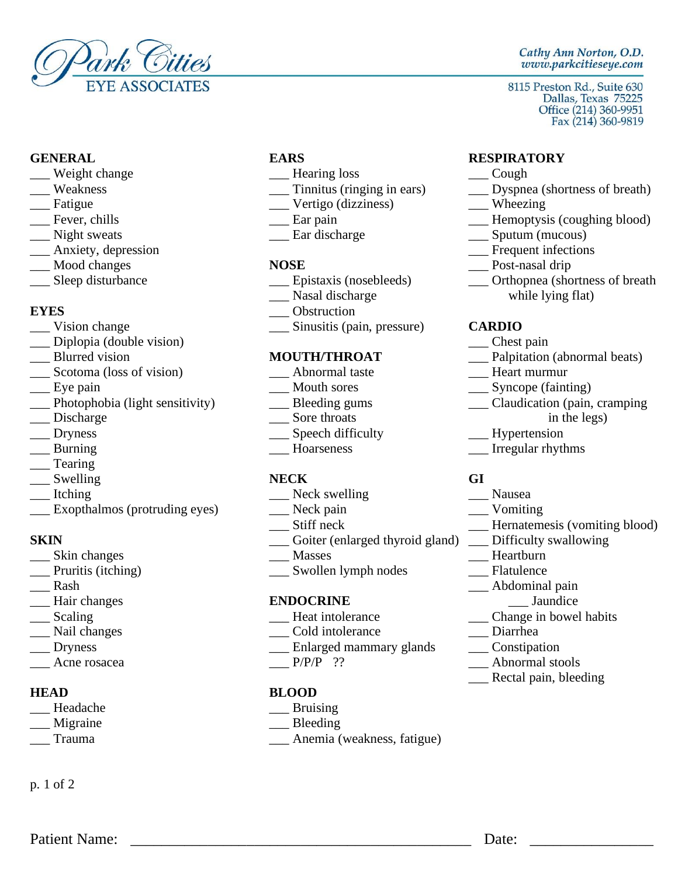

- Let United Structures Cough Let United Structures Cough Let United Structures Cough Let United Structures Cough
- 
- 
- 
- 
- \_\_\_ Anxiety, depression \_\_\_\_ Frequent infections \_\_\_\_ Frequent infections \_\_\_ Frequent infections \_\_\_ Post-nasal drip
- 
- 

- 
- \_\_\_ Diplopia (double vision) \_\_\_ Chest pain
- 
- $\frac{1}{\sqrt{2}}$  Scotoma (loss of vision)  $\frac{1}{\sqrt{2}}$  Abnormal taste Mouth sores
- 
- \_\_\_ Photophobia (light sensitivity) \_\_\_ Bleeding gums \_\_\_ Claudication (pain, cramping
- 
- 
- 
- \_\_\_ Tearing
- \_\_\_ Swelling **NECK GI**
- 
- \_\_\_ Exopthalmos (protruding eyes) \_\_\_\_ Neck pain \_\_\_\_ Vomiting \_\_\_\_ Vomiting \_\_\_ Vomiting \_\_\_ Vomiting \_\_\_ Vomiting \_\_\_ Vomiting \_\_\_ Vomiting \_\_\_ Vomiting \_\_\_ Vomiting \_\_\_ Vomiting \_\_\_ Vomiting \_\_\_ Vomiting \_\_\_ Vomiting \_\_

- 
- 
- 
- \_\_\_ Hair changes **ENDOCRINE** \_\_\_ Jaundice
- 
- 
- 
- $\frac{P}{P/P}$  ??  $\frac{P}{P}$  Abnormal stools

- \_\_\_ Headache \_\_\_ Bruising
- \_\_\_ Migraine \_\_\_ Bleeding
- 

p. 1 of 2

- 
- 
- \_\_\_ Vertigo (dizziness) \_\_\_\_ Wheezing<br>
\_\_ Ear pain \_\_\_\_ Hemoptysi
- 
- 

- Mood changes **NOSE** <br>
Sleep disturbance **NOSE** Epistaxis (nosebleeds) Bleep disturbance **NOSE Legendisturbance** Bleep disturbance **Legendisturbance Legendisturbance Legendisturbance Legendisturbance Legendisturba** 
	-
- **EYES** Obstruction
- \_\_\_ Vision change \_\_\_ Sinusitis (pain, pressure) **CARDIO**

- 
- 
- 
- 
- \_\_\_ Dryness \_\_\_ Speech difficulty \_\_\_ Hypertension
	-

- Liching Liching Liching Liching Liching Liching Liching Liching Liching Liching Liching Liching Liching Liching Liching Liching Liching Liching Liching Liching Liching Liching Liching Liching Liching Liching Liching Lichin
	-
	-
- **SKIN** \_\_\_ Goiter (enlarged thyroid gland) \_\_ Difficulty swallowing
	-
- \_\_\_ Skin changes \_\_\_\_ Masses \_\_\_\_ Masses \_\_\_\_ Heartburn \_\_\_ Heartburn \_\_\_ Heartburn \_\_\_ Heartburn \_\_\_ Heartburn \_\_\_ Heartburn \_\_\_ Heartburn \_\_\_ Heartburn \_\_\_ Heartburn \_\_\_ Heartburn \_\_\_ Heartburn \_\_\_ Heartburn \_\_\_ Heartbur \_\_\_ Pruritis (itching) \_\_\_\_ Swollen lymph nodes

- Lequity and Scaling and Scaling and Scaling and Scaling and Scaling and Scaling and Scaling and Scaling and Sc
	-
- \_\_\_ Nail changes \_\_\_\_ \_\_\_ Cold intolerance \_\_\_\_\_\_ Diarrhea \_\_\_\_\_ Diarrhea \_\_\_\_ Diarrhea \_\_\_\_ Diarrhea \_\_\_ Diarrhea \_\_\_ Diarrhea \_\_\_\_ Constipation Last Dryness and Superintendom and the Enlarged mammary glands Last  $\frac{1}{2}$  Enlarged mammary glands
	-

## **HEAD BLOOD**

Patient Name: <u>Date:</u> **Example 1** 

- 
- 
- \_\_\_ Trauma \_\_\_ Anemia (weakness, fatigue)

## Cathy Ann Norton, O.D. www.parkcitieseye.com

8115 Preston Rd., Suite 630

# **GENERAL EARS RESPIRATORY**

- 
- Weakness \_\_\_\_ Tinnitus (ringing in ears) \_\_\_\_\_ Dyspnea (shortness of breath) \_\_\_\_ Despnea (shortness of breath) \_\_\_\_\_ Despnea (shortness of breath)
	-
- \_\_\_ Fever, chills \_\_\_\_ \_\_\_ \_\_\_ Ear pain \_\_\_\_ \_\_\_ Hemoptysis (coughing blood)
- \_\_\_ Night sweats \_\_\_ Ear discharge \_\_\_ Sputum (mucous)
	-
	-
	- Let us all superior superior superior of the extended specific extended specific extended specific extended specific extended specific extended specific extended specific extended specific extended specific extended specif \_\_\_ Nasal discharge while lying flat)

- 
- **MOUTH/THROAT** \_\_\_ Palpitation (abnormal beats)<br>
\_\_\_ Abnormal taste \_\_\_\_\_ Heart murmur
	-
- \_\_\_ Eye pain \_\_\_ Mouth sores \_\_\_ Syncope (fainting)
- \_\_\_ Discharge \_\_\_ Sore throats in the legs)
	-
	-
- Lacktriang and the Hourseness and Hornseness and The Irregular rhythms

- 
- 
- \_\_ Hernatemesis (vomiting blood)
- 

Rectal pain, bleeding

- 
- 
- \_\_\_ Rash \_\_\_ Abdominal pain